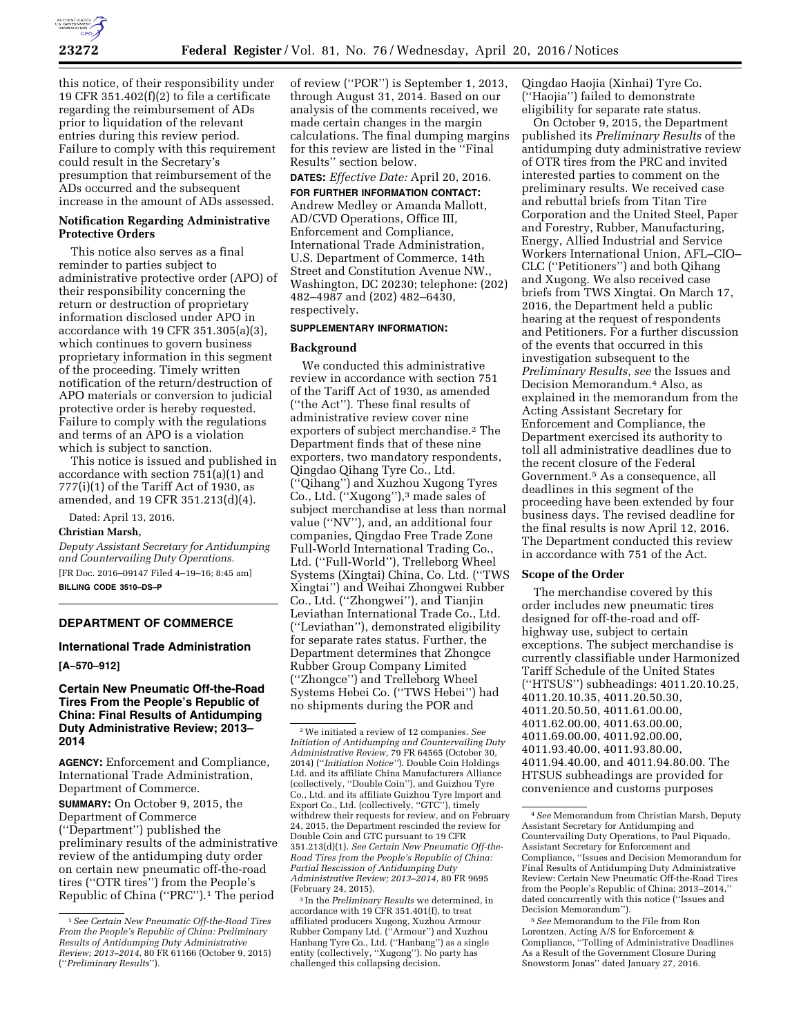

this notice, of their responsibility under 19 CFR 351.402 $(f)(2)$  to file a certificate regarding the reimbursement of ADs prior to liquidation of the relevant entries during this review period. Failure to comply with this requirement could result in the Secretary's presumption that reimbursement of the ADs occurred and the subsequent increase in the amount of ADs assessed.

# **Notification Regarding Administrative Protective Orders**

This notice also serves as a final reminder to parties subject to administrative protective order (APO) of their responsibility concerning the return or destruction of proprietary information disclosed under APO in accordance with 19 CFR 351.305(a)(3), which continues to govern business proprietary information in this segment of the proceeding. Timely written notification of the return/destruction of APO materials or conversion to judicial protective order is hereby requested. Failure to comply with the regulations and terms of an APO is a violation which is subject to sanction.

This notice is issued and published in accordance with section 751(a)(1) and  $777(i)(1)$  of the Tariff Act of 1930, as amended, and 19 CFR 351.213(d)(4).

Dated: April 13, 2016.

#### **Christian Marsh,**

*Deputy Assistant Secretary for Antidumping and Countervailing Duty Operations.*  [FR Doc. 2016–09147 Filed 4–19–16; 8:45 am] **BILLING CODE 3510–DS–P** 

## **DEPARTMENT OF COMMERCE**

# **International Trade Administration**

**[A–570–912]** 

# **Certain New Pneumatic Off-the-Road Tires From the People's Republic of China: Final Results of Antidumping Duty Administrative Review; 2013– 2014**

**AGENCY:** Enforcement and Compliance, International Trade Administration, Department of Commerce.

**SUMMARY:** On October 9, 2015, the Department of Commerce (''Department'') published the preliminary results of the administrative review of the antidumping duty order on certain new pneumatic off-the-road tires (''OTR tires'') from the People's Republic of China (''PRC'').1 The period

of review (''POR'') is September 1, 2013, through August 31, 2014. Based on our analysis of the comments received, we made certain changes in the margin calculations. The final dumping margins for this review are listed in the ''Final Results'' section below.

# **DATES:** *Effective Date:* April 20, 2016.

**FOR FURTHER INFORMATION CONTACT:**  Andrew Medley or Amanda Mallott, AD/CVD Operations, Office III, Enforcement and Compliance, International Trade Administration, U.S. Department of Commerce, 14th Street and Constitution Avenue NW., Washington, DC 20230; telephone: (202) 482–4987 and (202) 482–6430, respectively.

#### **SUPPLEMENTARY INFORMATION:**

#### **Background**

We conducted this administrative review in accordance with section 751 of the Tariff Act of 1930, as amended (''the Act''). These final results of administrative review cover nine exporters of subject merchandise.2 The Department finds that of these nine exporters, two mandatory respondents, Qingdao Qihang Tyre Co., Ltd. (''Qihang'') and Xuzhou Xugong Tyres Co., Ltd. (''Xugong''),3 made sales of subject merchandise at less than normal value (''NV''), and, an additional four companies, Qingdao Free Trade Zone Full-World International Trading Co., Ltd. (''Full-World''), Trelleborg Wheel Systems (Xingtai) China, Co. Ltd. (''TWS Xingtai'') and Weihai Zhongwei Rubber Co., Ltd. (''Zhongwei''), and Tianjin Leviathan International Trade Co., Ltd. (''Leviathan''), demonstrated eligibility for separate rates status. Further, the Department determines that Zhongce Rubber Group Company Limited (''Zhongce'') and Trelleborg Wheel Systems Hebei Co. (''TWS Hebei'') had no shipments during the POR and

3 In the *Preliminary Results* we determined, in accordance with 19 CFR 351.401(f), to treat affiliated producers Xugong, Xuzhou Armour Rubber Company Ltd. (''Armour'') and Xuzhou Hanbang Tyre Co., Ltd. (''Hanbang'') as a single entity (collectively, ''Xugong''). No party has challenged this collapsing decision.

Qingdao Haojia (Xinhai) Tyre Co. (''Haojia'') failed to demonstrate eligibility for separate rate status.

On October 9, 2015, the Department published its *Preliminary Results* of the antidumping duty administrative review of OTR tires from the PRC and invited interested parties to comment on the preliminary results. We received case and rebuttal briefs from Titan Tire Corporation and the United Steel, Paper and Forestry, Rubber, Manufacturing, Energy, Allied Industrial and Service Workers International Union, AFL–CIO– CLC (''Petitioners'') and both Qihang and Xugong. We also received case briefs from TWS Xingtai. On March 17, 2016, the Department held a public hearing at the request of respondents and Petitioners. For a further discussion of the events that occurred in this investigation subsequent to the *Preliminary Results, see* the Issues and Decision Memorandum.4 Also, as explained in the memorandum from the Acting Assistant Secretary for Enforcement and Compliance, the Department exercised its authority to toll all administrative deadlines due to the recent closure of the Federal Government.5 As a consequence, all deadlines in this segment of the proceeding have been extended by four business days. The revised deadline for the final results is now April 12, 2016. The Department conducted this review in accordance with 751 of the Act.

# **Scope of the Order**

The merchandise covered by this order includes new pneumatic tires designed for off-the-road and offhighway use, subject to certain exceptions. The subject merchandise is currently classifiable under Harmonized Tariff Schedule of the United States (''HTSUS'') subheadings: 4011.20.10.25, 4011.20.10.35, 4011.20.50.30, 4011.20.50.50, 4011.61.00.00, 4011.62.00.00, 4011.63.00.00, 4011.69.00.00, 4011.92.00.00, 4011.93.40.00, 4011.93.80.00, 4011.94.40.00, and 4011.94.80.00. The HTSUS subheadings are provided for convenience and customs purposes

<sup>1</sup>*See Certain New Pneumatic Off-the-Road Tires From the People's Republic of China: Preliminary Results of Antidumping Duty Administrative Review; 2013–2014,* 80 FR 61166 (October 9, 2015) (''*Preliminary Results*'').

<sup>2</sup>We initiated a review of 12 companies. *See Initiation of Antidumping and Countervailing Duty Administrative Review,* 79 FR 64565 (October 30, 2014) (''*Initiation Notice''*). Double Coin Holdings Ltd. and its affiliate China Manufacturers Alliance (collectively, ''Double Coin''), and Guizhou Tyre Co., Ltd. and its affiliate Guizhou Tyre Import and Export Co., Ltd. (collectively, ''GTC''), timely withdrew their requests for review, and on February 24, 2015, the Department rescinded the review for Double Coin and GTC pursuant to 19 CFR 351.213(d)(1). *See Certain New Pneumatic Off-the-Road Tires from the People's Republic of China: Partial Rescission of Antidumping Duty Administrative Review; 2013–2014,* 80 FR 9695 (February 24, 2015).

<sup>4</sup>*See* Memorandum from Christian Marsh, Deputy Assistant Secretary for Antidumping and Countervailing Duty Operations, to Paul Piquado, Assistant Secretary for Enforcement and Compliance, ''Issues and Decision Memorandum for Final Results of Antidumping Duty Administrative Review: Certain New Pneumatic Off-the-Road Tires from the People's Republic of China; 2013–2014,'' dated concurrently with this notice (''Issues and Decision Memorandum'').

<sup>5</sup>*See* Memorandum to the File from Ron Lorentzen, Acting A/S for Enforcement & Compliance, ''Tolling of Administrative Deadlines As a Result of the Government Closure During Snowstorm Jonas'' dated January 27, 2016.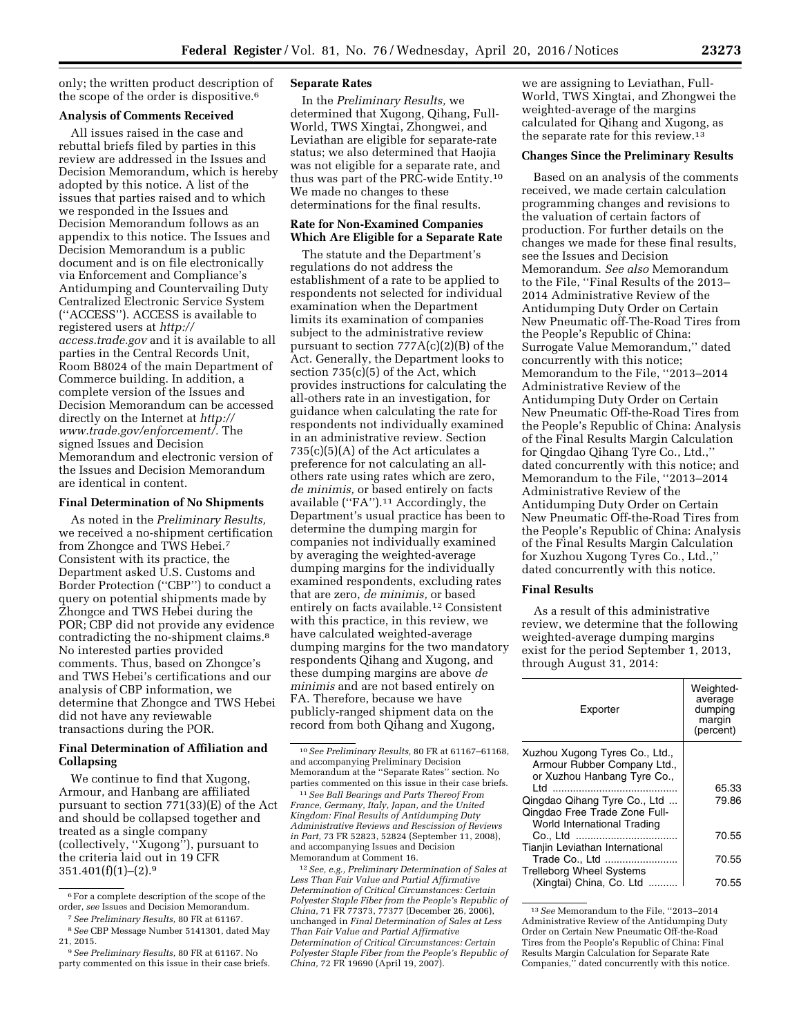only; the written product description of the scope of the order is dispositive.6

#### **Analysis of Comments Received**

All issues raised in the case and rebuttal briefs filed by parties in this review are addressed in the Issues and Decision Memorandum, which is hereby adopted by this notice. A list of the issues that parties raised and to which we responded in the Issues and Decision Memorandum follows as an appendix to this notice. The Issues and Decision Memorandum is a public document and is on file electronically via Enforcement and Compliance's Antidumping and Countervailing Duty Centralized Electronic Service System (''ACCESS''). ACCESS is available to registered users at *[http://](http://access.trade.gov) [access.trade.gov](http://access.trade.gov)* and it is available to all parties in the Central Records Unit, Room B8024 of the main Department of Commerce building. In addition, a complete version of the Issues and Decision Memorandum can be accessed directly on the Internet at *[http://](http://www.trade.gov/enforcement/) [www.trade.gov/enforcement/.](http://www.trade.gov/enforcement/)* The signed Issues and Decision Memorandum and electronic version of the Issues and Decision Memorandum are identical in content.

#### **Final Determination of No Shipments**

As noted in the *Preliminary Results,*  we received a no-shipment certification from Zhongce and TWS Hebei.7 Consistent with its practice, the Department asked U.S. Customs and Border Protection (''CBP'') to conduct a query on potential shipments made by Zhongce and TWS Hebei during the POR; CBP did not provide any evidence contradicting the no-shipment claims.8 No interested parties provided comments. Thus, based on Zhongce's and TWS Hebei's certifications and our analysis of CBP information, we determine that Zhongce and TWS Hebei did not have any reviewable transactions during the POR.

# **Final Determination of Affiliation and Collapsing**

We continue to find that Xugong, Armour, and Hanbang are affiliated pursuant to section 771(33)(E) of the Act and should be collapsed together and treated as a single company (collectively, ''Xugong''), pursuant to the criteria laid out in 19 CFR  $351.401(f)(1)–(2).9$ 

# **Separate Rates**

In the *Preliminary Results,* we determined that Xugong, Qihang, Full-World, TWS Xingtai, Zhongwei, and Leviathan are eligible for separate-rate status; we also determined that Haojia was not eligible for a separate rate, and thus was part of the PRC-wide Entity.10 We made no changes to these determinations for the final results.

# **Rate for Non-Examined Companies Which Are Eligible for a Separate Rate**

The statute and the Department's regulations do not address the establishment of a rate to be applied to respondents not selected for individual examination when the Department limits its examination of companies subject to the administrative review pursuant to section  $777A(c)(2)(B)$  of the Act. Generally, the Department looks to section 735(c)(5) of the Act, which provides instructions for calculating the all-others rate in an investigation, for guidance when calculating the rate for respondents not individually examined in an administrative review. Section 735(c)(5)(A) of the Act articulates a preference for not calculating an allothers rate using rates which are zero, *de minimis,* or based entirely on facts available (''FA'').11 Accordingly, the Department's usual practice has been to determine the dumping margin for companies not individually examined by averaging the weighted-average dumping margins for the individually examined respondents, excluding rates that are zero, *de minimis,* or based entirely on facts available.12 Consistent with this practice, in this review, we have calculated weighted-average dumping margins for the two mandatory respondents Qihang and Xugong, and these dumping margins are above *de minimis* and are not based entirely on FA. Therefore, because we have publicly-ranged shipment data on the record from both Qihang and Xugong,

11*See Ball Bearings and Parts Thereof From France, Germany, Italy, Japan, and the United Kingdom: Final Results of Antidumping Duty Administrative Reviews and Rescission of Reviews in Part,* 73 FR 52823, 52824 (September 11, 2008), and accompanying Issues and Decision Memorandum at Comment 16.

12*See, e.g., Preliminary Determination of Sales at Less Than Fair Value and Partial Affirmative Determination of Critical Circumstances: Certain Polyester Staple Fiber from the People's Republic of China,* 71 FR 77373, 77377 (December 26, 2006), unchanged in *Final Determination of Sales at Less Than Fair Value and Partial Affirmative Determination of Critical Circumstances: Certain Polyester Staple Fiber from the People's Republic of China,* 72 FR 19690 (April 19, 2007).

we are assigning to Leviathan, Full-World, TWS Xingtai, and Zhongwei the weighted-average of the margins calculated for Qihang and Xugong, as the separate rate for this review.13

### **Changes Since the Preliminary Results**

Based on an analysis of the comments received, we made certain calculation programming changes and revisions to the valuation of certain factors of production. For further details on the changes we made for these final results, see the Issues and Decision Memorandum. *See also* Memorandum to the File, ''Final Results of the 2013– 2014 Administrative Review of the Antidumping Duty Order on Certain New Pneumatic off-The-Road Tires from the People's Republic of China: Surrogate Value Memorandum,'' dated concurrently with this notice; Memorandum to the File, ''2013–2014 Administrative Review of the Antidumping Duty Order on Certain New Pneumatic Off-the-Road Tires from the People's Republic of China: Analysis of the Final Results Margin Calculation for Qingdao Qihang Tyre Co., Ltd.,'' dated concurrently with this notice; and Memorandum to the File, ''2013–2014 Administrative Review of the Antidumping Duty Order on Certain New Pneumatic Off-the-Road Tires from the People's Republic of China: Analysis of the Final Results Margin Calculation for Xuzhou Xugong Tyres Co., Ltd.,'' dated concurrently with this notice.

## **Final Results**

As a result of this administrative review, we determine that the following weighted-average dumping margins exist for the period September 1, 2013, through August 31, 2014:

| Exporter                                                                                                                             | Weighted-<br>average<br>dumping<br>margin<br>(percent) |
|--------------------------------------------------------------------------------------------------------------------------------------|--------------------------------------------------------|
| Xuzhou Xugong Tyres Co., Ltd.,<br>Armour Rubber Company Ltd.,<br>or Xuzhou Hanbang Tyre Co.,<br>ht I<br>Qingdao Qihang Tyre Co., Ltd | 65.33<br>79.86                                         |
| Qingdao Free Trade Zone Full-<br>World International Trading                                                                         | 70.55                                                  |
| Tianjin Leviathan International<br>Trade Co., Ltd<br><b>Trelleborg Wheel Systems</b>                                                 | 70.55                                                  |
| (Xingtai) China, Co. Ltd                                                                                                             | 70.55                                                  |

13*See* Memorandum to the File, ''2013–2014 Administrative Review of the Antidumping Duty Order on Certain New Pneumatic Off-the-Road Tires from the People's Republic of China: Final Results Margin Calculation for Separate Rate Companies,'' dated concurrently with this notice.

<sup>6</sup>For a complete description of the scope of the order, *see* Issues and Decision Memorandum. 7*See Preliminary Results,* 80 FR at 61167.

<sup>8</sup>*See* CBP Message Number 5141301, dated May 21, 2015.

<sup>9</sup>*See Preliminary Results,* 80 FR at 61167. No party commented on this issue in their case briefs.

<sup>10</sup>*See Preliminary Results,* 80 FR at 61167–61168, and accompanying Preliminary Decision Memorandum at the ''Separate Rates'' section. No parties commented on this issue in their case briefs.